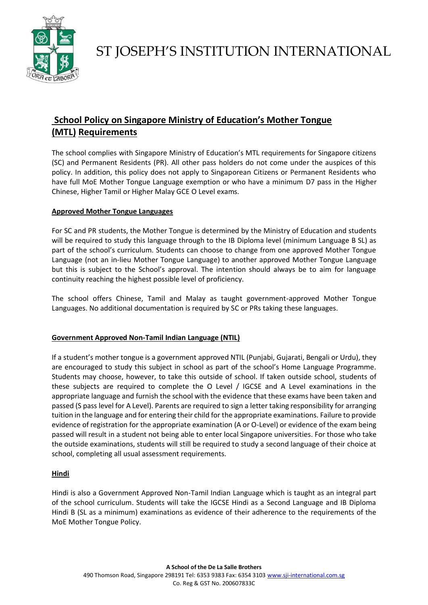

# **School Policy on Singapore Ministry of Education's Mother Tongue (MTL) Requirements**

The school complies with Singapore Ministry of Education's MTL requirements for Singapore citizens (SC) and Permanent Residents (PR). All other pass holders do not come under the auspices of this policy. In addition, this policy does not apply to Singaporean Citizens or Permanent Residents who have full MoE Mother Tongue Language exemption or who have a minimum D7 pass in the Higher Chinese, Higher Tamil or Higher Malay GCE O Level exams.

### **Approved Mother Tongue Languages**

For SC and PR students, the Mother Tongue is determined by the Ministry of Education and students will be required to study this language through to the IB Diploma level (minimum Language B SL) as part of the school's curriculum. Students can choose to change from one approved Mother Tongue Language (not an in-lieu Mother Tongue Language) to another approved Mother Tongue Language but this is subject to the School's approval. The intention should always be to aim for language continuity reaching the highest possible level of proficiency.

The school offers Chinese, Tamil and Malay as taught government-approved Mother Tongue Languages. No additional documentation is required by SC or PRs taking these languages.

#### **Government Approved Non-Tamil Indian Language (NTIL)**

If a student's mother tongue is a government approved NTIL (Punjabi, Gujarati, Bengali or Urdu), they are encouraged to study this subject in school as part of the school's Home Language Programme. Students may choose, however, to take this outside of school. If taken outside school, students of these subjects are required to complete the O Level / IGCSE and A Level examinations in the appropriate language and furnish the school with the evidence that these exams have been taken and passed (S pass level for A Level). Parents are required to sign a letter taking responsibility for arranging tuition in the language and for entering their child for the appropriate examinations. Failure to provide evidence of registration for the appropriate examination (A or O-Level) or evidence of the exam being passed will result in a student not being able to enter local Singapore universities. For those who take the outside examinations, students will still be required to study a second language of their choice at school, completing all usual assessment requirements.

## **Hindi**

Hindi is also a Government Approved Non-Tamil Indian Language which is taught as an integral part of the school curriculum. Students will take the IGCSE Hindi as a Second Language and IB Diploma Hindi B (SL as a minimum) examinations as evidence of their adherence to the requirements of the MoE Mother Tongue Policy.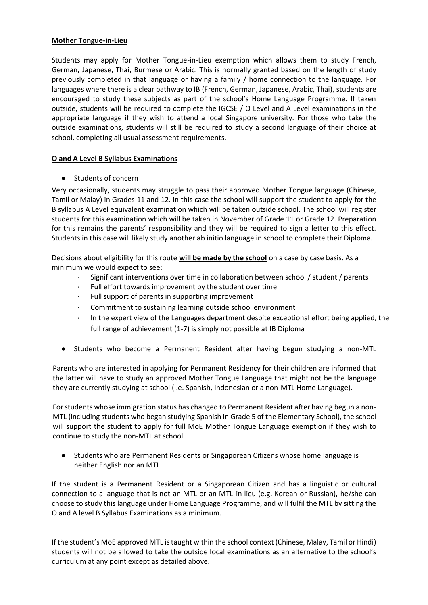#### **Mother Tongue-in-Lieu**

Students may apply for Mother Tongue-in-Lieu exemption which allows them to study French, German, Japanese, Thai, Burmese or Arabic. This is normally granted based on the length of study previously completed in that language or having a family / home connection to the language. For languages where there is a clear pathway to IB (French, German, Japanese, Arabic, Thai), students are encouraged to study these subjects as part of the school's Home Language Programme. If taken outside, students will be required to complete the IGCSE / O Level and A Level examinations in the appropriate language if they wish to attend a local Singapore university. For those who take the outside examinations, students will still be required to study a second language of their choice at school, completing all usual assessment requirements.

#### **O and A Level B Syllabus Examinations**

● Students of concern

Very occasionally, students may struggle to pass their approved Mother Tongue language (Chinese, Tamil or Malay) in Grades 11 and 12. In this case the school will support the student to apply for the B syllabus A Level equivalent examination which will be taken outside school. The school will register students for this examination which will be taken in November of Grade 11 or Grade 12. Preparation for this remains the parents' responsibility and they will be required to sign a letter to this effect. Students in this case will likely study another ab initio language in school to complete their Diploma.

Decisions about eligibility for this route **will be made by the school** on a case by case basis. As a minimum we would expect to see:

- Significant interventions over time in collaboration between school / student / parents
- Full effort towards improvement by the student over time
- Full support of parents in supporting improvement
- · Commitment to sustaining learning outside school environment
- In the expert view of the Languages department despite exceptional effort being applied, the full range of achievement (1-7) is simply not possible at IB Diploma
- Students who become a Permanent Resident after having begun studying a non-MTL

Parents who are interested in applying for Permanent Residency for their children are informed that the latter will have to study an approved Mother Tongue Language that might not be the language they are currently studying at school (i.e. Spanish, Indonesian or a non-MTL Home Language).

For students whose immigration status has changed to Permanent Resident after having begun a non-MTL (including students who began studying Spanish in Grade 5 of the Elementary School), the school will support the student to apply for full MoE Mother Tongue Language exemption if they wish to continue to study the non-MTL at school.

● Students who are Permanent Residents or Singaporean Citizens whose home language is neither English nor an MTL

If the student is a Permanent Resident or a Singaporean Citizen and has a linguistic or cultural connection to a language that is not an MTL or an MTL-in lieu (e.g. Korean or Russian), he/she can choose to study this language under Home Language Programme, and will fulfil the MTL by sitting the O and A level B Syllabus Examinations as a minimum.

If the student's MoE approved MTL is taught within the school context (Chinese, Malay, Tamil or Hindi) students will not be allowed to take the outside local examinations as an alternative to the school's curriculum at any point except as detailed above.